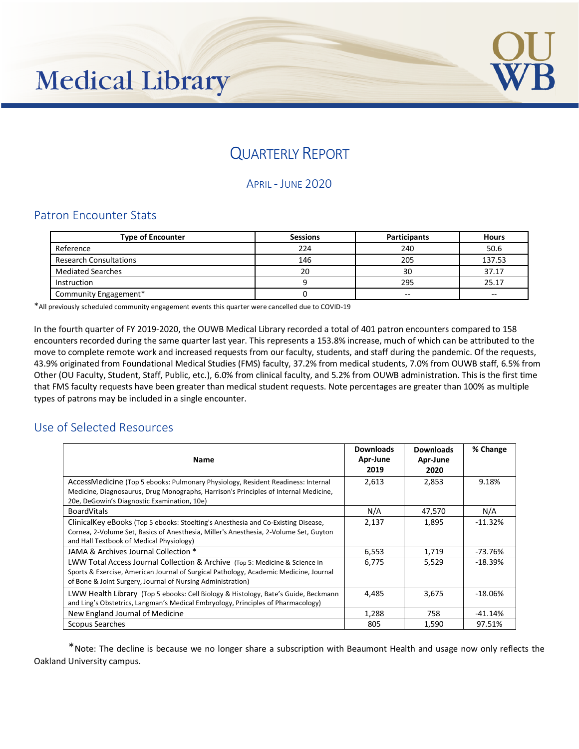# **Medical Library**



## QUARTERLY REPORT

APRIL - JUNE 2020

## Patron Encounter Stats

| <b>Type of Encounter</b>      | <b>Sessions</b> | <b>Participants</b> | <b>Hours</b> |
|-------------------------------|-----------------|---------------------|--------------|
| Reference                     | 224             | 240                 | 50.6         |
| <b>Research Consultations</b> | 146             | 205                 | 137.53       |
| <b>Mediated Searches</b>      | 20              | 30                  | 37.17        |
| Instruction                   |                 | 295                 | 25.17        |
| Community Engagement*         |                 | $- -$               | $- -$        |

\*All previously scheduled community engagement events this quarter were cancelled due to COVID-19

In the fourth quarter of FY 2019-2020, the OUWB Medical Library recorded a total of 401 patron encounters compared to 158 encounters recorded during the same quarter last year. This represents a 153.8% increase, much of which can be attributed to the move to complete remote work and increased requests from our faculty, students, and staff during the pandemic. Of the requests, 43.9% originated from Foundational Medical Studies (FMS) faculty, 37.2% from medical students, 7.0% from OUWB staff, 6.5% from Other (OU Faculty, Student, Staff, Public, etc.), 6.0% from clinical faculty, and 5.2% from OUWB administration. This is the first time that FMS faculty requests have been greater than medical student requests. Note percentages are greater than 100% as multiple types of patrons may be included in a single encounter.

## Use of Selected Resources

| <b>Name</b>                                                                                                                                                                                                                         | <b>Downloads</b><br>Apr-June<br>2019 | <b>Downloads</b><br>Apr-June<br>2020 | % Change  |
|-------------------------------------------------------------------------------------------------------------------------------------------------------------------------------------------------------------------------------------|--------------------------------------|--------------------------------------|-----------|
| AccessMedicine (Top 5 ebooks: Pulmonary Physiology, Resident Readiness: Internal<br>Medicine, Diagnosaurus, Drug Monographs, Harrison's Principles of Internal Medicine,<br>20e, DeGowin's Diagnostic Examination, 10e)             | 2,613                                | 2,853                                | 9.18%     |
| <b>BoardVitals</b>                                                                                                                                                                                                                  | N/A                                  | 47,570                               | N/A       |
| ClinicalKey eBooks (Top 5 ebooks: Stoelting's Anesthesia and Co-Existing Disease,<br>Cornea, 2-Volume Set, Basics of Anesthesia, Miller's Anesthesia, 2-Volume Set, Guyton<br>and Hall Textbook of Medical Physiology)              | 2,137                                | 1,895                                | $-11.32%$ |
| JAMA & Archives Journal Collection *                                                                                                                                                                                                | 6,553                                | 1,719                                | -73.76%   |
| LWW Total Access Journal Collection & Archive (Top 5: Medicine & Science in<br>Sports & Exercise, American Journal of Surgical Pathology, Academic Medicine, Journal<br>of Bone & Joint Surgery, Journal of Nursing Administration) | 6.775                                | 5.529                                | $-18.39%$ |
| LWW Health Library (Top 5 ebooks: Cell Biology & Histology, Bate's Guide, Beckmann<br>and Ling's Obstetrics, Langman's Medical Embryology, Principles of Pharmacology)                                                              | 4,485                                | 3,675                                | $-18.06%$ |
| New England Journal of Medicine                                                                                                                                                                                                     | 1,288                                | 758                                  | $-41.14%$ |
| Scopus Searches                                                                                                                                                                                                                     | 805                                  | 1,590                                | 97.51%    |

\*Note: The decline is because we no longer share a subscription with Beaumont Health and usage now only reflects the Oakland University campus.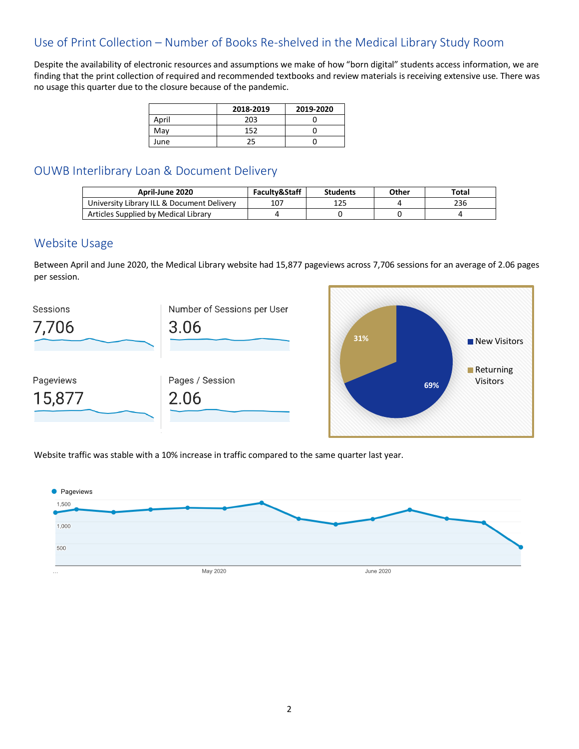## Use of Print Collection – Number of Books Re-shelved in the Medical Library Study Room

Despite the availability of electronic resources and assumptions we make of how "born digital" students access information, we are finding that the print collection of required and recommended textbooks and review materials is receiving extensive use. There was no usage this quarter due to the closure because of the pandemic.

|       | 2018-2019 | 2019-2020 |
|-------|-----------|-----------|
| April | 203       |           |
| May   | 152       |           |
| June  | 25        |           |

## OUWB Interlibrary Loan & Document Delivery

| April-June 2020                            | Faculty&Staff | <b>Students</b> | Other | Total |
|--------------------------------------------|---------------|-----------------|-------|-------|
| University Library ILL & Document Delivery | 107           | 1 7 0<br>⊥∠J    |       | 236   |
| Articles Supplied by Medical Library       |               |                 |       |       |

### Website Usage

Between April and June 2020, the Medical Library website had 15,877 pageviews across 7,706 sessions for an average of 2.06 pages per session.





Website traffic was stable with a 10% increase in traffic compared to the same quarter last year.

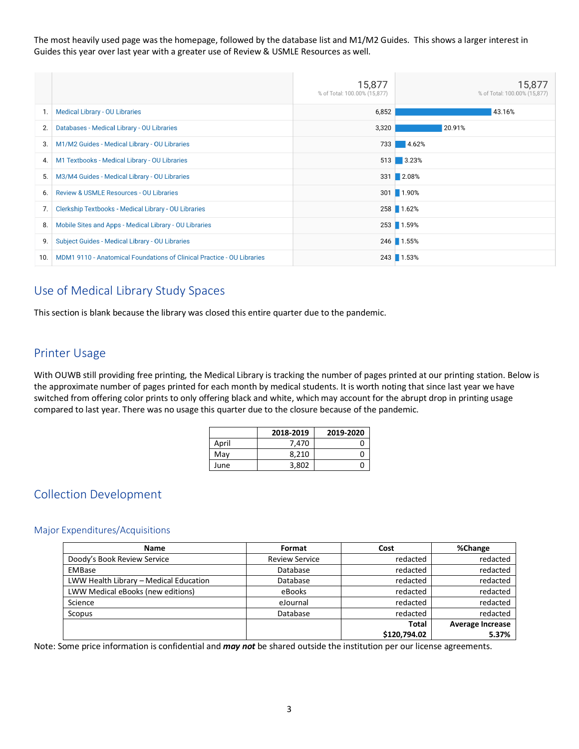The most heavily used page was the homepage, followed by the database list and M1/M2 Guides. This shows a larger interest in Guides this year over last year with a greater use of Review & USMLE Resources as well.

|     |                                                                        | 15,877<br>% of Total: 100.00% (15,877) | 15,877<br>% of Total: 100.00% (15,877) |
|-----|------------------------------------------------------------------------|----------------------------------------|----------------------------------------|
|     | <b>Medical Library - OU Libraries</b>                                  | 6,852                                  | 43.16%                                 |
| 2.  | Databases - Medical Library - OU Libraries                             | 3,320                                  | 20.91%                                 |
| 3.  | M1/M2 Guides - Medical Library - OU Libraries                          | 733                                    | 4.62%                                  |
| 4.  | M1 Textbooks - Medical Library - OU Libraries                          | 513                                    | 3.23%                                  |
| 5.  | M3/M4 Guides - Medical Library - OU Libraries                          |                                        | 331 2.08%                              |
| 6.  | <b>Review &amp; USMLE Resources - OU Libraries</b>                     |                                        | 301 1.90%                              |
| 7.  | Clerkship Textbooks - Medical Library - OU Libraries                   |                                        | 258 1.62%                              |
| 8.  | Mobile Sites and Apps - Medical Library - OU Libraries                 |                                        | 253 1.59%                              |
| 9.  | Subject Guides - Medical Library - OU Libraries                        |                                        | 246 1.55%                              |
| 10. | MDM1 9110 - Anatomical Foundations of Clinical Practice - OU Libraries |                                        | 243 1.53%                              |

## Use of Medical Library Study Spaces

This section is blank because the library was closed this entire quarter due to the pandemic.

## Printer Usage

With OUWB still providing free printing, the Medical Library is tracking the number of pages printed at our printing station. Below is the approximate number of pages printed for each month by medical students. It is worth noting that since last year we have switched from offering color prints to only offering black and white, which may account for the abrupt drop in printing usage compared to last year. There was no usage this quarter due to the closure because of the pandemic.

|       | 2018-2019 | 2019-2020 |
|-------|-----------|-----------|
| April | 7.470     |           |
| May   | 8.210     |           |
| June  | 3,802     |           |

## Collection Development

#### Major Expenditures/Acquisitions

| <b>Name</b>                            | Format                | Cost         | %Change                 |
|----------------------------------------|-----------------------|--------------|-------------------------|
| Doody's Book Review Service            | <b>Review Service</b> | redacted     | redacted                |
| <b>EMBase</b>                          | Database              | redacted     | redacted                |
| LWW Health Library - Medical Education | Database              | redacted     | redacted                |
| LWW Medical eBooks (new editions)      | eBooks                | redacted     | redacted                |
| Science                                | eJournal              | redacted     | redacted                |
| Scopus                                 | Database              | redacted     | redacted                |
|                                        |                       | <b>Total</b> | <b>Average Increase</b> |
|                                        |                       | \$120,794.02 | 5.37%                   |

Note: Some price information is confidential and *may not* be shared outside the institution per our license agreements.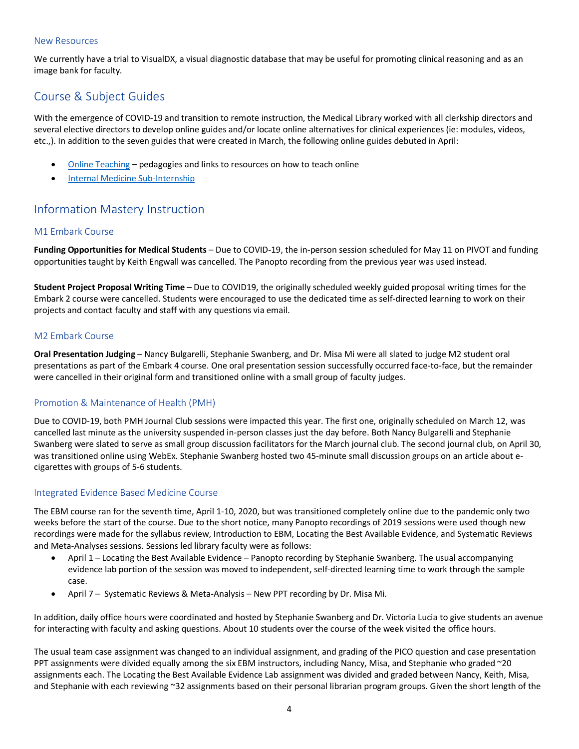#### New Resources

We currently have a trial to VisualDX, a visual diagnostic database that may be useful for promoting clinical reasoning and as an image bank for faculty.

## Course & Subject Guides

With the emergence of COVID-19 and transition to remote instruction, the Medical Library worked with all clerkship directors and several elective directors to develop online guides and/or locate online alternatives for clinical experiences (ie: modules, videos, etc.,). In addition to the seven guides that were created in March, the following online guides debuted in April:

- Online Teaching pedagogies and links to resources on how to teach online
- Internal Medicine Sub-Internship

## Information Mastery Instruction

#### M1 Embark Course

**Funding Opportunities for Medical Students** – Due to COVID-19, the in-person session scheduled for May 11 on PIVOT and funding opportunities taught by Keith Engwall was cancelled. The Panopto recording from the previous year was used instead.

**Student Project Proposal Writing Time** – Due to COVID19, the originally scheduled weekly guided proposal writing times for the Embark 2 course were cancelled. Students were encouraged to use the dedicated time as self-directed learning to work on their projects and contact faculty and staff with any questions via email.

#### M2 Embark Course

**Oral Presentation Judging** – Nancy Bulgarelli, Stephanie Swanberg, and Dr. Misa Mi were all slated to judge M2 student oral presentations as part of the Embark 4 course. One oral presentation session successfully occurred face-to-face, but the remainder were cancelled in their original form and transitioned online with a small group of faculty judges.

#### Promotion & Maintenance of Health (PMH)

Due to COVID-19, both PMH Journal Club sessions were impacted this year. The first one, originally scheduled on March 12, was cancelled last minute as the university suspended in-person classes just the day before. Both Nancy Bulgarelli and Stephanie Swanberg were slated to serve as small group discussion facilitators for the March journal club. The second journal club, on April 30, was transitioned online using WebEx. Stephanie Swanberg hosted two 45-minute small discussion groups on an article about ecigarettes with groups of 5-6 students.

#### Integrated Evidence Based Medicine Course

The EBM course ran for the seventh time, April 1-10, 2020, but was transitioned completely online due to the pandemic only two weeks before the start of the course. Due to the short notice, many Panopto recordings of 2019 sessions were used though new recordings were made for the syllabus review, Introduction to EBM, Locating the Best Available Evidence, and Systematic Reviews and Meta-Analyses sessions. Sessions led library faculty were as follows:

- April 1 Locating the Best Available Evidence Panopto recording by Stephanie Swanberg. The usual accompanying evidence lab portion of the session was moved to independent, self-directed learning time to work through the sample case.
- April 7 Systematic Reviews & Meta-Analysis New PPT recording by Dr. Misa Mi.

In addition, daily office hours were coordinated and hosted by Stephanie Swanberg and Dr. Victoria Lucia to give students an avenue for interacting with faculty and asking questions. About 10 students over the course of the week visited the office hours.

The usual team case assignment was changed to an individual assignment, and grading of the PICO question and case presentation PPT assignments were divided equally among the six EBM instructors, including Nancy, Misa, and Stephanie who graded ~20 assignments each. The Locating the Best Available Evidence Lab assignment was divided and graded between Nancy, Keith, Misa, and Stephanie with each reviewing ~32 assignments based on their personal librarian program groups. Given the short length of the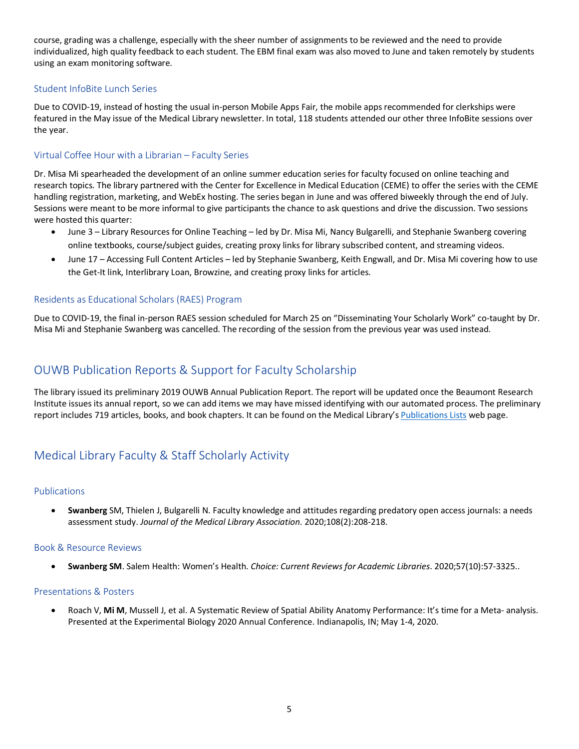course, grading was a challenge, especially with the sheer number of assignments to be reviewed and the need to provide individualized, high quality feedback to each student. The EBM final exam was also moved to June and taken remotely by students using an exam monitoring software.

#### Student InfoBite Lunch Series

Due to COVID-19, instead of hosting the usual in-person Mobile Apps Fair, the mobile apps recommended for clerkships were featured in the May issue of the Medical Library newsletter. In total, 118 students attended our other three InfoBite sessions over the year.

#### Virtual Coffee Hour with a Librarian – Faculty Series

Dr. Misa Mi spearheaded the development of an online summer education series for faculty focused on online teaching and research topics. The library partnered with the Center for Excellence in Medical Education (CEME) to offer the series with the CEME handling registration, marketing, and WebEx hosting. The series began in June and was offered biweekly through the end of July. Sessions were meant to be more informal to give participants the chance to ask questions and drive the discussion. Two sessions were hosted this quarter:

- June 3 Library Resources for Online Teaching led by Dr. Misa Mi, Nancy Bulgarelli, and Stephanie Swanberg covering online textbooks, course/subject guides, creating proxy links for library subscribed content, and streaming videos.
- June 17 Accessing Full Content Articles led by Stephanie Swanberg, Keith Engwall, and Dr. Misa Mi covering how to use the Get-It link, Interlibrary Loan, Browzine, and creating proxy links for articles.

#### Residents as Educational Scholars (RAES) Program

Due to COVID-19, the final in-person RAES session scheduled for March 25 on "Disseminating Your Scholarly Work" co-taught by Dr. Misa Mi and Stephanie Swanberg was cancelled. The recording of the session from the previous year was used instead.

## OUWB Publication Reports & Support for Faculty Scholarship

The library issued its preliminary 2019 OUWB Annual Publication Report. The report will be updated once the Beaumont Research Institute issues its annual report, so we can add items we may have missed identifying with our automated process. The preliminary report includes 719 articles, books, and book chapters. It can be found on the Medical Library's Publications Lists web page.

## Medical Library Faculty & Staff Scholarly Activity

#### Publications

• **Swanberg** SM, Thielen J, Bulgarelli N. Faculty knowledge and attitudes regarding predatory open access journals: a needs assessment study. *Journal of the Medical Library Association*. 2020;108(2):208-218.

#### Book & Resource Reviews

• **Swanberg SM**. Salem Health: Women's Health. *Choice: Current Reviews for Academic Libraries*. 2020;57(10):57-3325..

#### Presentations & Posters

• Roach V, **Mi M**, Mussell J, et al. A Systematic Review of Spatial Ability Anatomy Performance: It's time for a Meta- analysis. Presented at the Experimental Biology 2020 Annual Conference. Indianapolis, IN; May 1-4, 2020.